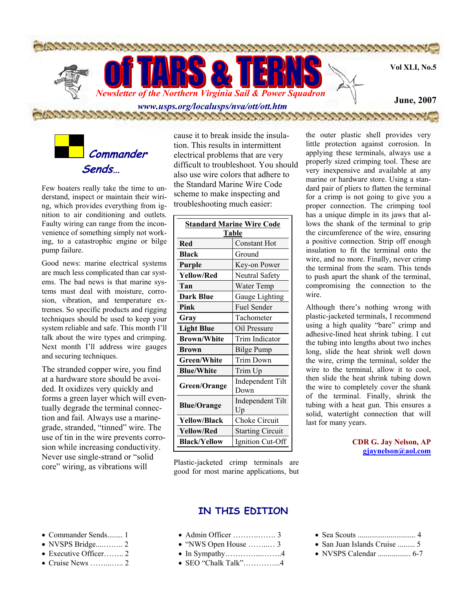

 **Commander Sends…**

Few boaters really take the time to understand, inspect or maintain their wiring, which provides everything from ignition to air conditioning and outlets. Faulty wiring can range from the inconvenience of something simply not working, to a catastrophic engine or bilge pump failure.

Good news: marine electrical systems are much less complicated than car systems. The bad news is that marine systems must deal with moisture, corrosion, vibration, and temperature extremes. So specific products and rigging techniques should be used to keep your system reliable and safe. This month I'll talk about the wire types and crimping. Next month I'll address wire gauges and securing techniques.

The stranded copper wire, you find at a hardware store should be avoided. It oxidizes very quickly and forms a green layer which will eventually degrade the terminal connection and fail. Always use a marinegrade, stranded, "tinned" wire. The use of tin in the wire prevents corrosion while increasing conductivity. Never use single-strand or "solid core" wiring, as vibrations will

cause it to break inside the insulation. This results in intermittent electrical problems that are very difficult to troubleshoot. You should also use wire colors that adhere to the Standard Marine Wire Code scheme to make inspecting and troubleshooting much easier:

| <b>Standard Marine Wire Code</b> |                         |  |  |  |
|----------------------------------|-------------------------|--|--|--|
| Table                            |                         |  |  |  |
| Red                              | <b>Constant Hot</b>     |  |  |  |
| <b>Black</b>                     | Ground                  |  |  |  |
| Purple                           | Key-on Power            |  |  |  |
| <b>Yellow/Red</b>                | Neutral Safety          |  |  |  |
| Tan                              | Water Temp              |  |  |  |
| <b>Dark Blue</b>                 | Gauge Lighting          |  |  |  |
| Pink                             | Fuel Sender             |  |  |  |
| Gray                             | Tachometer              |  |  |  |
| <b>Light Blue</b>                | Oil Pressure            |  |  |  |
| <b>Brown/White</b>               | Trim Indicator          |  |  |  |
| Brown                            | <b>Bilge Pump</b>       |  |  |  |
| <b>Green/White</b>               | <b>Trim Down</b>        |  |  |  |
| <b>Blue/White</b>                | Trim Up                 |  |  |  |
|                                  | Independent Tilt        |  |  |  |
| Green/Orange                     | Down                    |  |  |  |
| <b>Blue/Orange</b>               | Independent Tilt        |  |  |  |
|                                  | Up                      |  |  |  |
| <b>Yellow/Black</b>              | Choke Circuit           |  |  |  |
| <b>Yellow/Red</b>                | <b>Starting Circuit</b> |  |  |  |
| <b>Black/Yellow</b>              | Ignition Cut-Off        |  |  |  |

Plastic-jacketed crimp terminals are good for most marine applications, but

### **IN THIS EDITION**

- Commander Sends........ 1
- NVSPS Bridge....…….. 2
- Executive Officer……... 2
- Cruise News ……...….. 2
- Admin Officer ……….……. 3
- "NWS Open House ……..… 3
- In Sympathy…………...……..4
- SEO "Chalk Talk"…………...4

the outer plastic shell provides very little protection against corrosion. In applying these terminals, always use a properly sized crimping tool. These are very inexpensive and available at any marine or hardware store. Using a standard pair of pliers to flatten the terminal for a crimp is not going to give you a proper connection. The crimping tool has a unique dimple in its jaws that allows the shank of the terminal to grip the circumference of the wire, ensuring a positive connection. Strip off enough insulation to fit the terminal onto the wire, and no more. Finally, never crimp the terminal from the seam. This tends to push apart the shank of the terminal, compromising the connection to the wire.

Although there's nothing wrong with plastic-jacketed terminals, I recommend using a high quality "bare" crimp and adhesive-lined heat shrink tubing. I cut the tubing into lengths about two inches long, slide the heat shrink well down the wire, crimp the terminal, solder the wire to the terminal, allow it to cool, then slide the heat shrink tubing down the wire to completely cover the shank of the terminal. Finally, shrink the tubing with a heat gun. This ensures a solid, watertight connection that will last for many years.

> **CDR G. Jay Nelson, AP gjaynelson@aol.com**

- Sea Scouts .............................. 4
- San Juan Islands Cruise ......... 5
- NVSPS Calendar ................. 6-7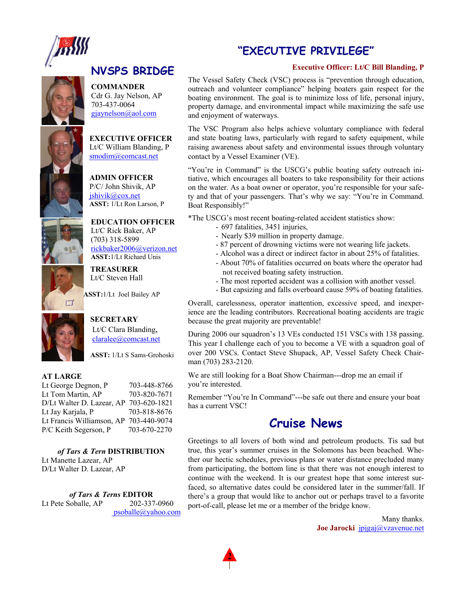

### **"EXECUTIVE PRIVILEGE"**

#### **Executive Officer: Lt/C Bill Blanding, P**

**NVSPS BRIDGE COMMANDER**  Cdr G. Jay Nelson, AP

703-437-0064 gjaynelson@aol.com

**EXECUTIVE OFFICER**  Lt/C William Blanding, P smodim@comcast.net

**ADMIN OFFICER**  P/C/ John Shivik, AP jshivik@cox.net **ASST:** 1/Lt Ron Larson, P



**EDUCATION OFFICER**  Lt/C Rick Baker, AP (703) 318-5899 rickbaker2006@verizon.net **ASST:**1/Lt Richard Unis

**TREASURER** Lt/C Steven Hall

**ASST:**1/Lt Joel Bailey AP



 $\Box$ 

**SECRETARY**  Lt/C Clara Blanding, claralee@comcast.net

**ASST:** 1/Lt S Sams-Grohoski

#### **AT LARGE**

Lt George Degnon, P 703-448-8766 Lt Tom Martin, AP 703-820-7671 D/Lt Walter D. Lazear, AP 703-620-1821 Lt Jay Karjala, P 703-818-8676 Lt Francis Williamson, AP 703-440-9074 P/C Keith Segerson, P 703-670-2270

*of Tars & Tern* **DISTRIBUTION**  Lt Manette Lazear, AP D/Lt Walter D. Lazear, AP

*of Tars & Terns* **EDITOR**  Lt Pete Soballe, AP 202-337-0960 psoballe@yahoo.com The Vessel Safety Check (VSC) process is "prevention through education, outreach and volunteer compliance" helping boaters gain respect for the boating environment. The goal is to minimize loss of life, personal injury, property damage, and environmental impact while maximizing the safe use and enjoyment of waterways.

The VSC Program also helps achieve voluntary compliance with federal and state boating laws, particularly with regard to safety equipment, while raising awareness about safety and environmental issues through voluntary contact by a Vessel Examiner (VE).

"You're in Command" is the USCG's public boating safety outreach initiative, which encourages all boaters to take responsibility for their actions on the water. As a boat owner or operator, you're responsible for your safety and that of your passengers. That's why we say: "You're in Command. Boat Responsibly!"

\*The USCG's most recent boating-related accident statistics show:

- 697 fatalities, 3451 injuries,
- Nearly \$39 million in property damage.
- 87 percent of drowning victims were not wearing life jackets.
- Alcohol was a direct or indirect factor in about 25% of fatalities.
- About 70% of fatalities occurred on boats where the operator had not received boating safety instruction.
- The most reported accident was a collision with another vessel.
- But capsizing and falls overboard cause 59% of boating fatalities.

Overall, carelessness, operator inattention, excessive speed, and inexperience are the leading contributors. Recreational boating accidents are tragic because the great majority are preventable!

During 2006 our squadron's 13 VEs conducted 151 VSCs with 138 passing. This year I challenge each of you to become a VE with a squadron goal of over 200 VSCs. Contact Steve Shupack, AP, Vessel Safety Check Chairman (703) 283-2120.

We are still looking for a Boat Show Chairman---drop me an email if you're interested.

Remember "You're In Command"---be safe out there and ensure your boat has a current VSC!

### **Cruise News**

Greetings to all lovers of both wind and petroleum products. Tis sad but true, this year's summer cruises in the Solomons has been beached. Whether our hectic schedules, previous plans or water distance precluded many from participating, the bottom line is that there was not enough interest to continue with the weekend. It is our greatest hope that some interest surfaced, so alternative dates could be considered later in the summer/fall. If there's a group that would like to anchor out or perhaps travel to a favorite port-of-call, please let me or a member of the bridge know.

> Many thanks. **Joe Jarocki** jpjgaj@vzavenue.net

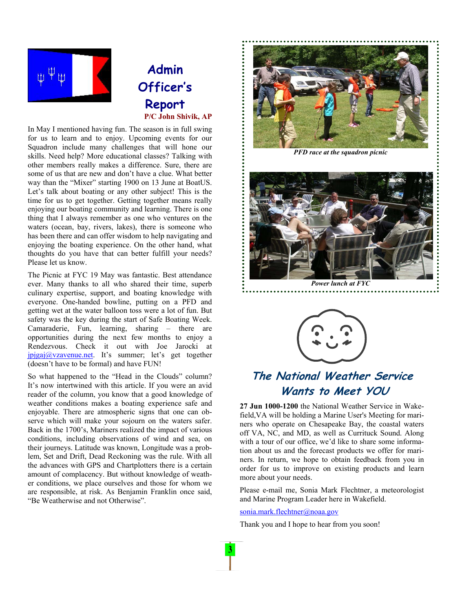

# **Admin Officer's Report P/C John Shivik, AP**

In May I mentioned having fun. The season is in full swing for us to learn and to enjoy. Upcoming events for our Squadron include many challenges that will hone our skills. Need help? More educational classes? Talking with other members really makes a difference. Sure, there are some of us that are new and don't have a clue. What better way than the "Mixer" starting 1900 on 13 June at BoatUS. Let's talk about boating or any other subject! This is the time for us to get together. Getting together means really enjoying our boating community and learning. There is one thing that I always remember as one who ventures on the waters (ocean, bay, rivers, lakes), there is someone who has been there and can offer wisdom to help navigating and enjoying the boating experience. On the other hand, what thoughts do you have that can better fulfill your needs? Please let us know.

The Picnic at FYC 19 May was fantastic. Best attendance ever. Many thanks to all who shared their time, superb culinary expertise, support, and boating knowledge with everyone. One-handed bowline, putting on a PFD and getting wet at the water balloon toss were a lot of fun. But safety was the key during the start of Safe Boating Week. Camaraderie, Fun, learning, sharing – there are opportunities during the next few months to enjoy a Rendezvous. Check it out with Joe Jarocki at jpjgaj@vzavenue.net. It's summer; let's get together (doesn't have to be formal) and have FUN!

So what happened to the "Head in the Clouds" column? It's now intertwined with this article. If you were an avid reader of the column, you know that a good knowledge of weather conditions makes a boating experience safe and enjoyable. There are atmospheric signs that one can observe which will make your sojourn on the waters safer. Back in the 1700's, Mariners realized the impact of various conditions, including observations of wind and sea, on their journeys. Latitude was known, Longitude was a problem, Set and Drift, Dead Reckoning was the rule. With all the advances with GPS and Chartplotters there is a certain amount of complacency. But without knowledge of weather conditions, we place ourselves and those for whom we are responsible, at risk. As Benjamin Franklin once said, "Be Weatherwise and not Otherwise".



*PFD race at the squadron picnic* 



*Power lunch at FYC* 



# **The National Weather Service Wants to Meet YOU**

**27 Jun 1000-1200** the National Weather Service in Wakefield,VA will be holding a Marine User's Meeting for mariners who operate on Chesapeake Bay, the coastal waters off VA, NC, and MD, as well as Currituck Sound. Along with a tour of our office, we'd like to share some information about us and the forecast products we offer for mariners. In return, we hope to obtain feedback from you in order for us to improve on existing products and learn more about your needs.

Please e-mail me, Sonia Mark Flechtner, a meteorologist and Marine Program Leader here in Wakefield.

sonia.mark.flechtner@noaa.gov

Thank you and I hope to hear from you soon!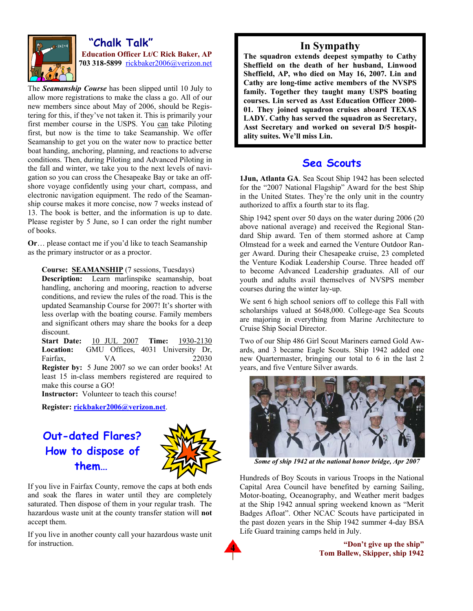

#### **"Chalk Talk" Education Officer Lt/C Rick Baker, AP 703 318-5899** rickbaker2006@verizon.net

The *Seamanship Course* has been slipped until 10 July to allow more registrations to make the class a go. All of our new members since about May of 2006, should be Registering for this, if they've not taken it. This is primarily your first member course in the USPS. You can take Piloting first, but now is the time to take Seamanship. We offer Seamanship to get you on the water now to practice better boat handing, anchoring, planning, and reactions to adverse conditions. Then, during Piloting and Advanced Piloting in the fall and winter, we take you to the next levels of navigation so you can cross the Chesapeake Bay or take an offshore voyage confidently using your chart, compass, and electronic navigation equipment. The redo of the Seamanship course makes it more concise, now 7 weeks instead of 13. The book is better, and the information is up to date. Please register by 5 June, so I can order the right number of books.

**Or**… please contact me if you'd like to teach Seamanship as the primary instructor or as a proctor.

**Course: SEAMANSHIP** (7 sessions, Tuesdays)

**Description:** Learn marlinspike seamanship, boat handling, anchoring and mooring, reaction to adverse conditions, and review the rules of the road. This is the updated Seamanship Course for 2007! It's shorter with less overlap with the boating course. Family members and significant others may share the books for a deep discount.

**Start Date:** 10 JUL 2007 **Time:** 1930-2130 **Location:** GMU Offices, 4031 University Dr, Fairfax. VA 22030 **Register by:** 5 June 2007 so we can order books! At least 15 in-class members registered are required to make this course a GO!

**Instructor:** Volunteer to teach this course!

**Register: rickbaker2006@verizon.net**.

**Out-dated Flares? How to dispose of them…** 



If you live in Fairfax County, remove the caps at both ends and soak the flares in water until they are completely saturated. Then dispose of them in your regular trash. The hazardous waste unit at the county transfer station will **not** accept them.

If you live in another county call your hazardous waste unit for instruction.

### **In Sympathy**

**The squadron extends deepest sympathy to Cathy Sheffield on the death of her husband, Linwood Sheffield, AP, who died on May 16, 2007. Lin and Cathy are long-time active members of the NVSPS family. Together they taught many USPS boating courses. Lin served as Asst Education Officer 2000- 01. They joined squadron cruises aboard TEXAS LADY. Cathy has served the squadron as Secretary, Asst Secretary and worked on several D/5 hospitality suites. We'll miss Lin.** 

### **Sea Scouts**

**1Jun, Atlanta GA**. Sea Scout Ship 1942 has been selected for the "2007 National Flagship" Award for the best Ship in the United States. They're the only unit in the country authorized to affix a fourth star to its flag.

Ship 1942 spent over 50 days on the water during 2006 (20 above national average) and received the Regional Standard Ship award. Ten of them stormed ashore at Camp Olmstead for a week and earned the Venture Outdoor Ranger Award. During their Chesapeake cruise, 23 completed the Venture Kodiak Leadership Course. Three headed off to become Advanced Leadership graduates. All of our youth and adults avail themselves of NVSPS member courses during the winter lay-up.

We sent 6 high school seniors off to college this Fall with scholarships valued at \$648,000. College-age Sea Scouts are majoring in everything from Marine Architecture to Cruise Ship Social Director.

Two of our Ship 486 Girl Scout Mariners earned Gold Awards, and 3 became Eagle Scouts. Ship 1942 added one new Quartermaster, bringing our total to 6 in the last 2 years, and five Venture Silver awards.



*Some of ship 1942 at the national honor bridge, Apr 2007* 

Hundreds of Boy Scouts in various Troops in the National Capital Area Council have benefited by earning Sailing, Motor-boating, Oceanography, and Weather merit badges at the Ship 1942 annual spring weekend known as "Merit Badges Afloat". Other NCAC Scouts have participated in the past dozen years in the Ship 1942 summer 4-day BSA Life Guard training camps held in July.

> **"Don't give up the ship" Tom Ballew, Skipper, ship 1942**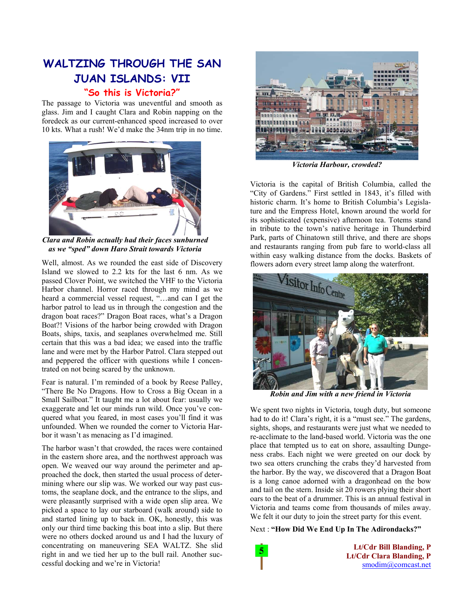# **WALTZING THROUGH THE SAN JUAN ISLANDS: VII**

#### **"So this is Victoria?"**

The passage to Victoria was uneventful and smooth as glass. Jim and I caught Clara and Robin napping on the foredeck as our current-enhanced speed increased to over 10 kts. What a rush! We'd make the 34nm trip in no time.



*Clara and Robin actually had their faces sunburned as we "sped" down Haro Strait towards Victoria* 

Well, almost. As we rounded the east side of Discovery Island we slowed to 2.2 kts for the last 6 nm. As we passed Clover Point, we switched the VHF to the Victoria Harbor channel. Horror raced through my mind as we heard a commercial vessel request, "…and can I get the harbor patrol to lead us in through the congestion and the dragon boat races?" Dragon Boat races, what's a Dragon Boat?! Visions of the harbor being crowded with Dragon Boats, ships, taxis, and seaplanes overwhelmed me. Still certain that this was a bad idea; we eased into the traffic lane and were met by the Harbor Patrol. Clara stepped out and peppered the officer with questions while I concentrated on not being scared by the unknown.

Fear is natural. I'm reminded of a book by Reese Palley, "There Be No Dragons. How to Cross a Big Ocean in a Small Sailboat." It taught me a lot about fear: usually we exaggerate and let our minds run wild. Once you've conquered what you feared, in most cases you'll find it was unfounded. When we rounded the corner to Victoria Harbor it wasn't as menacing as I'd imagined.

The harbor wasn't that crowded, the races were contained in the eastern shore area, and the northwest approach was open. We weaved our way around the perimeter and approached the dock, then started the usual process of determining where our slip was. We worked our way past customs, the seaplane dock, and the entrance to the slips, and were pleasantly surprised with a wide open slip area. We picked a space to lay our starboard (walk around) side to and started lining up to back in. OK, honestly, this was only our third time backing this boat into a slip. But there were no others docked around us and I had the luxury of concentrating on maneuvering SEA WALTZ. She slid right in and we tied her up to the bull rail. Another successful docking and we're in Victoria!



*Victoria Harbour, crowded?* 

Victoria is the capital of British Columbia, called the "City of Gardens." First settled in 1843, it's filled with historic charm. It's home to British Columbia's Legislature and the Empress Hotel, known around the world for its sophisticated (expensive) afternoon tea. Totems stand in tribute to the town's native heritage in Thunderbird Park, parts of Chinatown still thrive, and there are shops and restaurants ranging from pub fare to world-class all within easy walking distance from the docks. Baskets of flowers adorn every street lamp along the waterfront.



*Robin and Jim with a new friend in Victoria* 

We spent two nights in Victoria, tough duty, but someone had to do it! Clara's right, it is a "must see." The gardens, sights, shops, and restaurants were just what we needed to re-acclimate to the land-based world. Victoria was the one place that tempted us to eat on shore, assaulting Dungeness crabs. Each night we were greeted on our dock by two sea otters crunching the crabs they'd harvested from the harbor. By the way, we discovered that a Dragon Boat is a long canoe adorned with a dragonhead on the bow and tail on the stern. Inside sit 20 rowers plying their short oars to the beat of a drummer. This is an annual festival in Victoria and teams come from thousands of miles away. We felt it our duty to join the street party for this event.

Next : **"How Did We End Up In The Adirondacks?"**



 **Lt/Cdr Bill Blanding, P Lt/Cdr Clara Blanding, P**  smodim@comcast.net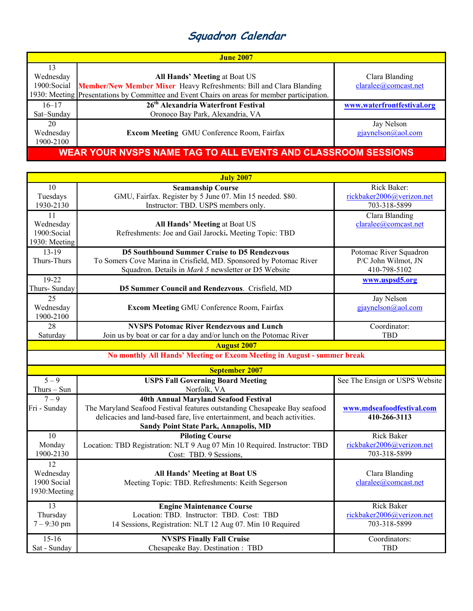# **Squadron Calendar**

| <b>June 2007</b>                                              |                                                                                                                                                                                                             |                                        |  |
|---------------------------------------------------------------|-------------------------------------------------------------------------------------------------------------------------------------------------------------------------------------------------------------|----------------------------------------|--|
| 13<br>Wednesday<br>1900: Social                               | <b>All Hands' Meeting at Boat US</b><br>Member/New Member Mixer Heavy Refreshments: Bill and Clara Blanding<br>1930: Meeting Presentations by Committee and Event Chairs on areas for member participation. | Clara Blanding<br>claralee@comcast.net |  |
| $16 - 17$<br>Sat-Sunday                                       | 26 <sup>th</sup> Alexandria Waterfront Festival<br>Oronoco Bay Park, Alexandria, VA                                                                                                                         | www.waterfrontfestival.org             |  |
| 20<br>Wednesday<br>1900-2100                                  | <b>Excom Meeting GMU Conference Room, Fairfax</b>                                                                                                                                                           | Jay Nelson<br>$g$ jaynelson@aol.com    |  |
| WEAR YOUR NVSPS NAME TAG TO ALL EVENTS AND CLASSROOM SESSIONS |                                                                                                                                                                                                             |                                        |  |

| <b>July 2007</b>                                 |                                                                                                                                                                                                                                                 |                                                                |  |  |  |
|--------------------------------------------------|-------------------------------------------------------------------------------------------------------------------------------------------------------------------------------------------------------------------------------------------------|----------------------------------------------------------------|--|--|--|
| 10<br>Tuesdays<br>1930-2130                      | <b>Seamanship Course</b><br>GMU, Fairfax. Register by 5 June 07. Min 15 needed. \$80.<br>Instructor: TBD. USPS members only.                                                                                                                    | Rick Baker:<br>rickbaker2006@verizon.net<br>703-318-5899       |  |  |  |
| 11<br>Wednesday<br>1900: Social<br>1930: Meeting | All Hands' Meeting at Boat US<br>Refreshments: Joe and Gail Jarocki. Meeting Topic: TBD                                                                                                                                                         | Clara Blanding<br>claralee@comcast.net                         |  |  |  |
| $13-19$<br>Thurs-Thurs                           | <b>D5 Southbound Summer Cruise to D5 Rendezvous</b><br>To Somers Cove Marina in Crisfield, MD. Sponsored by Potomac River<br>Squadron. Details in Mark 5 newsletter or D5 Website                                                               | Potomac River Squadron<br>P/C John Wilmot, JN<br>410-798-5102  |  |  |  |
| $19-22$<br>Thurs- Sunday                         | D5 Summer Council and Rendezvous. Crisfield, MD                                                                                                                                                                                                 | www.uspsd5.org                                                 |  |  |  |
| 25<br>Wednesday<br>1900-2100                     | Excom Meeting GMU Conference Room, Fairfax                                                                                                                                                                                                      | Jay Nelson<br>gjaynelson@aol.com                               |  |  |  |
| 28<br>Saturday                                   | <b>NVSPS Potomac River Rendezvous and Lunch</b><br>Join us by boat or car for a day and/or lunch on the Potomac River                                                                                                                           | Coordinator:<br><b>TBD</b>                                     |  |  |  |
|                                                  | <b>August 2007</b>                                                                                                                                                                                                                              |                                                                |  |  |  |
|                                                  | No monthly All Hands' Meeting or Excom Meeting in August - summer break                                                                                                                                                                         |                                                                |  |  |  |
| <b>September 2007</b>                            |                                                                                                                                                                                                                                                 |                                                                |  |  |  |
| $5 - 9$<br>Thurs - Sun                           | <b>USPS Fall Governing Board Meeting</b><br>Norfolk, VA                                                                                                                                                                                         | See The Ensign or USPS Website                                 |  |  |  |
| $7 - 9$<br>Fri - Sunday                          | <b>40th Annual Maryland Seafood Festival</b><br>The Maryland Seafood Festival features outstanding Chesapeake Bay seafood<br>delicacies and land-based fare, live entertainment, and beach activities.<br>Sandy Point State Park, Annapolis, MD | www.mdseafoodfestival.com<br>410-266-3113                      |  |  |  |
| 10<br>Monday<br>1900-2130                        | <b>Piloting Course</b><br>Location: TBD Registration: NLT 9 Aug 07 Min 10 Required. Instructor: TBD<br>Cost: TBD. 9 Sessions,                                                                                                                   | <b>Rick Baker</b><br>rickbaker2006@verizon.net<br>703-318-5899 |  |  |  |
| 12<br>Wednesday<br>1900 Social<br>1930: Meeting  | <b>All Hands' Meeting at Boat US</b><br>Meeting Topic: TBD. Refreshments: Keith Segerson                                                                                                                                                        | Clara Blanding<br>claralee@comcast.net                         |  |  |  |
| 13<br>Thursday<br>$7 - 9:30$ pm                  | <b>Engine Maintenance Course</b><br>Location: TBD. Instructor: TBD. Cost: TBD<br>14 Sessions, Registration: NLT 12 Aug 07. Min 10 Required                                                                                                      | <b>Rick Baker</b><br>rickbaker2006@verizon.net<br>703-318-5899 |  |  |  |
| $15 - 16$<br>Sat - Sunday                        | <b>NVSPS Finally Fall Cruise</b><br>Chesapeake Bay. Destination: TBD                                                                                                                                                                            | Coordinators:<br><b>TBD</b>                                    |  |  |  |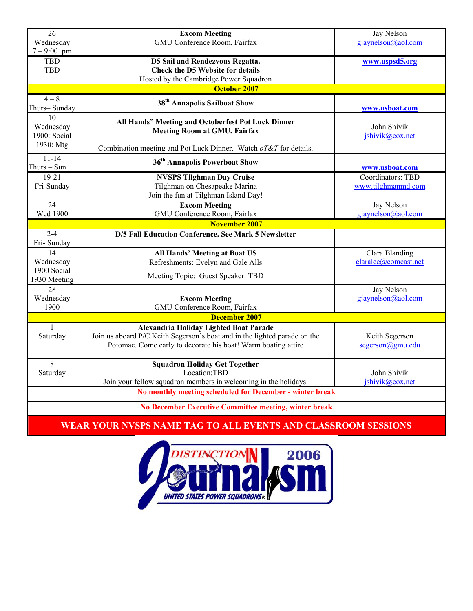| 26                                                       | <b>Excom Meeting</b>                                                      | <b>Jay Nelson</b>    |  |  |  |
|----------------------------------------------------------|---------------------------------------------------------------------------|----------------------|--|--|--|
| Wednesday                                                | GMU Conference Room, Fairfax                                              | gjaynelson@aol.com   |  |  |  |
| $7 - 9:00$ pm                                            |                                                                           |                      |  |  |  |
| <b>TBD</b>                                               | D5 Sail and Rendezvous Regatta.                                           | www.uspsd5.org       |  |  |  |
| <b>TBD</b>                                               | <b>Check the D5 Website for details</b>                                   |                      |  |  |  |
|                                                          | Hosted by the Cambridge Power Squadron                                    |                      |  |  |  |
|                                                          | <b>October 2007</b>                                                       |                      |  |  |  |
| $4 - 8$                                                  | 38 <sup>th</sup> Annapolis Sailboat Show                                  |                      |  |  |  |
| Thurs-Sunday                                             |                                                                           | www.usboat.com       |  |  |  |
| 10                                                       | All Hands" Meeting and Octoberfest Pot Luck Dinner                        |                      |  |  |  |
| Wednesday                                                | <b>Meeting Room at GMU, Fairfax</b>                                       | John Shivik          |  |  |  |
| 1900: Social                                             |                                                                           | jshivik@cox.net      |  |  |  |
| 1930: Mtg                                                | Combination meeting and Pot Luck Dinner. Watch oT&T for details.          |                      |  |  |  |
| $11 - 14$                                                | 36 <sup>th</sup> Annapolis Powerboat Show                                 |                      |  |  |  |
| Thurs - Sun                                              |                                                                           | www.usboat.com       |  |  |  |
| $19-21$                                                  | <b>NVSPS Tilghman Day Cruise</b>                                          | Coordinators: TBD    |  |  |  |
| Fri-Sunday                                               | Tilghman on Chesapeake Marina                                             | www.tilghmanmd.com   |  |  |  |
|                                                          | Join the fun at Tilghman Island Day!                                      |                      |  |  |  |
| 24                                                       | <b>Excom Meeting</b>                                                      | Jay Nelson           |  |  |  |
| <b>Wed 1900</b>                                          | GMU Conference Room, Fairfax                                              | gjaynelson@aol.com   |  |  |  |
|                                                          | <b>November 2007</b>                                                      |                      |  |  |  |
| $2-4$                                                    | D/5 Fall Education Conference. See Mark 5 Newsletter                      |                      |  |  |  |
| Fri-Sunday                                               |                                                                           |                      |  |  |  |
| 14                                                       | All Hands' Meeting at Boat US                                             | Clara Blanding       |  |  |  |
| Wednesday                                                | Refreshments: Evelyn and Gale Alls                                        | claralee@comcast.net |  |  |  |
| 1900 Social                                              |                                                                           |                      |  |  |  |
| 1930 Meeting                                             | Meeting Topic: Guest Speaker: TBD                                         |                      |  |  |  |
| 28                                                       |                                                                           | Jay Nelson           |  |  |  |
| Wednesday                                                | <b>Excom Meeting</b>                                                      | gjaynelson@aol.com   |  |  |  |
| 1900                                                     | GMU Conference Room, Fairfax                                              |                      |  |  |  |
| December 2007                                            |                                                                           |                      |  |  |  |
| $\mathbf{1}$                                             | Alexandria Holiday Lighted Boat Parade                                    |                      |  |  |  |
| Saturday                                                 | Join us aboard P/C Keith Segerson's boat and in the lighted parade on the | Keith Segerson       |  |  |  |
|                                                          | Potomac. Come early to decorate his boat! Warm boating attire             | segerson@gmu.edu     |  |  |  |
|                                                          |                                                                           |                      |  |  |  |
| $\overline{8}$                                           | <b>Squadron Holiday Get Together</b>                                      |                      |  |  |  |
| Saturday                                                 | Location:TBD                                                              | John Shivik          |  |  |  |
|                                                          | Join your fellow squadron members in welcoming in the holidays.           | jshivik@cox.net      |  |  |  |
| No monthly meeting scheduled for December - winter break |                                                                           |                      |  |  |  |
| No December Executive Committee meeting, winter break    |                                                                           |                      |  |  |  |

### **WEAR YOUR NVSPS NAME TAG TO ALL EVENTS AND CLASSROOM SESSIONS**